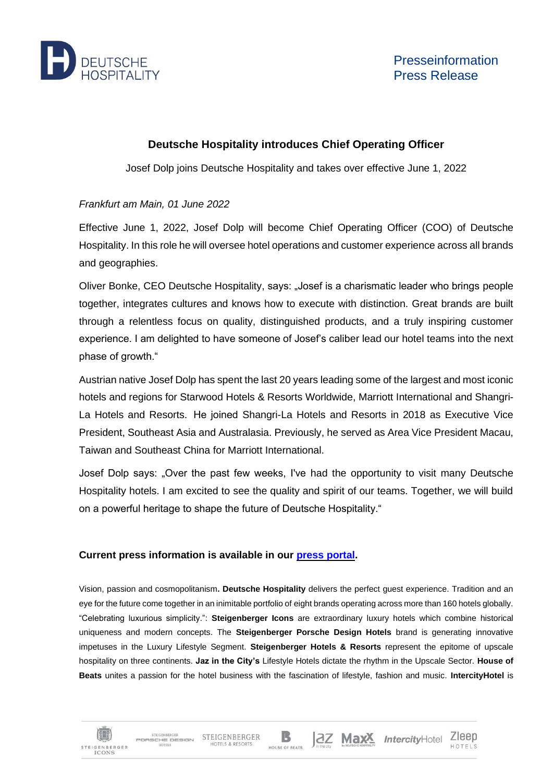

但

**STEIGENBERGER ICONS** 

STEIGENRERGER

HOTELS

STEIGENBERGER STEIGENBERGER

HOTELS & RESORTS

## **Deutsche Hospitality introduces Chief Operating Officer**

Josef Dolp joins Deutsche Hospitality and takes over effective June 1, 2022

## *Frankfurt am Main, 01 June 2022*

Effective June 1, 2022, Josef Dolp will become Chief Operating Officer (COO) of Deutsche Hospitality. In this role he will oversee hotel operations and customer experience across all brands and geographies.

Oliver Bonke, CEO Deutsche Hospitality, says: "Josef is a charismatic leader who brings people together, integrates cultures and knows how to execute with distinction. Great brands are built through a relentless focus on quality, distinguished products, and a truly inspiring customer experience. I am delighted to have someone of Josef's caliber lead our hotel teams into the next phase of growth."

Austrian native Josef Dolp has spent the last 20 years leading some of the largest and most iconic hotels and regions for Starwood Hotels & Resorts Worldwide, Marriott International and Shangri-La Hotels and Resorts.  He joined Shangri-La Hotels and Resorts in 2018 as Executive Vice President, Southeast Asia and Australasia. Previously, he served as Area Vice President Macau, Taiwan and Southeast China for Marriott International.

Josef Dolp says: "Over the past few weeks, I've had the opportunity to visit many Deutsche Hospitality hotels. I am excited to see the quality and spirit of our teams. Together, we will build on a powerful heritage to shape the future of Deutsche Hospitality."

## **Current press information is available in our press [portal.](https://www.deutschehospitality.com/en/press-office)**

Vision, passion and cosmopolitanism**. Deutsche Hospitality** delivers the perfect guest experience. Tradition and an eye for the future come together in an inimitable portfolio of eight brands operating across more than 160 hotels globally. "Celebrating luxurious simplicity.": **Steigenberger Icons** are extraordinary luxury hotels which combine historical uniqueness and modern concepts. The **Steigenberger Porsche Design Hotels** brand is generating innovative impetuses in the Luxury Lifestyle Segment. **Steigenberger Hotels & Resorts** represent the epitome of upscale hospitality on three continents. **Jaz in the City's** Lifestyle Hotels dictate the rhythm in the Upscale Sector. **House of Beats** unites a passion for the hotel business with the fascination of lifestyle, fashion and music. **IntercityHotel** is

B

HOUSE OF REATS

2Z Max<sup>X</sup> IntercityHotel Zleep

HOTFIS